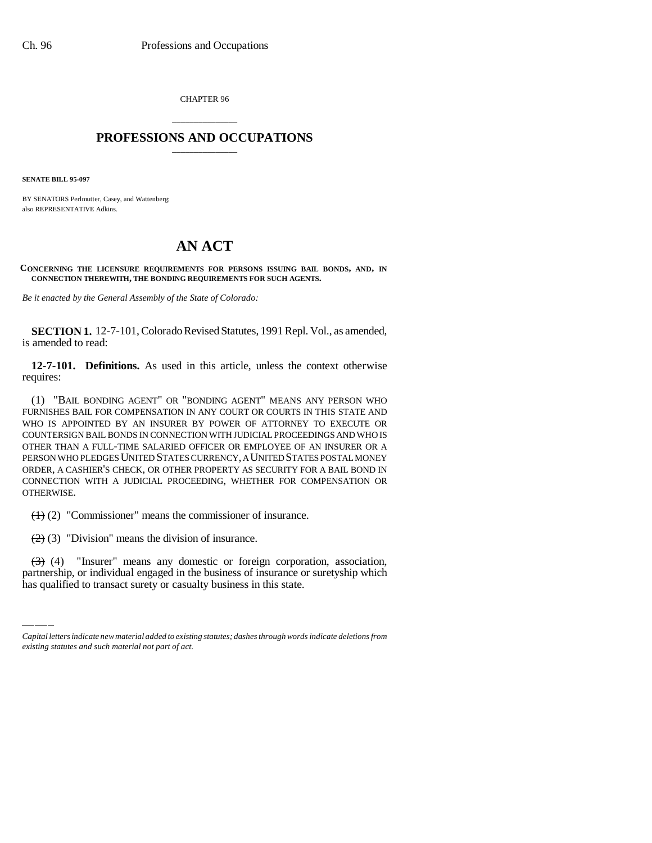CHAPTER 96

## \_\_\_\_\_\_\_\_\_\_\_\_\_\_\_ **PROFESSIONS AND OCCUPATIONS** \_\_\_\_\_\_\_\_\_\_\_\_\_\_\_

**SENATE BILL 95-097**

BY SENATORS Perlmutter, Casey, and Wattenberg; also REPRESENTATIVE Adkins.

# **AN ACT**

**CONCERNING THE LICENSURE REQUIREMENTS FOR PERSONS ISSUING BAIL BONDS, AND, IN CONNECTION THEREWITH, THE BONDING REQUIREMENTS FOR SUCH AGENTS.**

*Be it enacted by the General Assembly of the State of Colorado:*

**SECTION 1.** 12-7-101, Colorado Revised Statutes, 1991 Repl. Vol., as amended, is amended to read:

**12-7-101. Definitions.** As used in this article, unless the context otherwise requires:

(1) "BAIL BONDING AGENT" OR "BONDING AGENT" MEANS ANY PERSON WHO FURNISHES BAIL FOR COMPENSATION IN ANY COURT OR COURTS IN THIS STATE AND WHO IS APPOINTED BY AN INSURER BY POWER OF ATTORNEY TO EXECUTE OR COUNTERSIGN BAIL BONDS IN CONNECTION WITH JUDICIAL PROCEEDINGS AND WHO IS OTHER THAN A FULL-TIME SALARIED OFFICER OR EMPLOYEE OF AN INSURER OR A PERSON WHO PLEDGES UNITED STATES CURRENCY, A UNITED STATES POSTAL MONEY ORDER, A CASHIER'S CHECK, OR OTHER PROPERTY AS SECURITY FOR A BAIL BOND IN CONNECTION WITH A JUDICIAL PROCEEDING, WHETHER FOR COMPENSATION OR OTHERWISE.

(1) (2) "Commissioner" means the commissioner of insurance.

 $(2)$  (3) "Division" means the division of insurance.

(3) (4) "Insurer" means any domestic or foreign corporation, association, partnership, or individual engaged in the business of insurance or suretyship which has qualified to transact surety or casualty business in this state.

*Capital letters indicate new material added to existing statutes; dashes through words indicate deletions from existing statutes and such material not part of act.*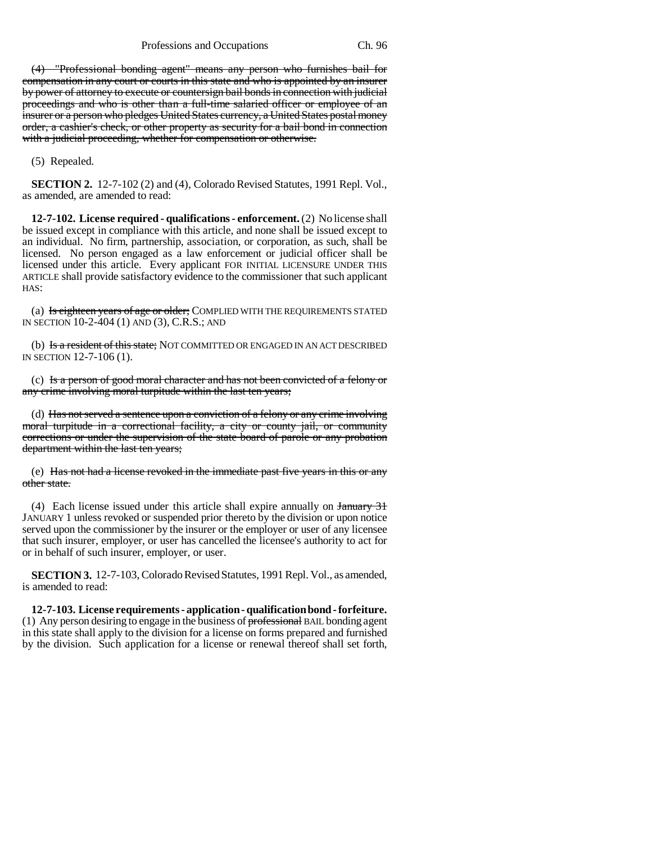Professions and Occupations Ch. 96

(4) "Professional bonding agent" means any person who furnishes bail for compensation in any court or courts in this state and who is appointed by an insurer by power of attorney to execute or countersign bail bonds in connection with judicial proceedings and who is other than a full-time salaried officer or employee of an insurer or a person who pledges United States currency, a United States postal money order, a cashier's check, or other property as security for a bail bond in connection with a judicial proceeding, whether for compensation or otherwise.

(5) Repealed.

**SECTION 2.** 12-7-102 (2) and (4), Colorado Revised Statutes, 1991 Repl. Vol., as amended, are amended to read:

**12-7-102. License required - qualifications - enforcement.** (2) No license shall be issued except in compliance with this article, and none shall be issued except to an individual. No firm, partnership, association, or corporation, as such, shall be licensed. No person engaged as a law enforcement or judicial officer shall be licensed under this article. Every applicant FOR INITIAL LICENSURE UNDER THIS ARTICLE shall provide satisfactory evidence to the commissioner that such applicant HAS:

(a) Is eighteen years of age or older; COMPLIED WITH THE REQUIREMENTS STATED IN SECTION 10-2-404 (1) AND (3), C.R.S.; AND

(b) Is a resident of this state; NOT COMMITTED OR ENGAGED IN AN ACT DESCRIBED IN SECTION 12-7-106 (1).

(c) Is a person of good moral character and has not been convicted of a felony or any crime involving moral turpitude within the last ten years;

(d) Has not served a sentence upon a conviction of a felony or any crime involving moral turpitude in a correctional facility, a city or county jail, or community corrections or under the supervision of the state board of parole or any probation department within the last ten years;

(e) Has not had a license revoked in the immediate past five years in this or any other state.

(4) Each license issued under this article shall expire annually on January 31 JANUARY 1 unless revoked or suspended prior thereto by the division or upon notice served upon the commissioner by the insurer or the employer or user of any licensee that such insurer, employer, or user has cancelled the licensee's authority to act for or in behalf of such insurer, employer, or user.

**SECTION 3.** 12-7-103, Colorado Revised Statutes, 1991 Repl. Vol., as amended, is amended to read:

**12-7-103. License requirements - application - qualification bond - forfeiture.** (1) Any person desiring to engage in the business of professional BAIL bonding agent in this state shall apply to the division for a license on forms prepared and furnished by the division. Such application for a license or renewal thereof shall set forth,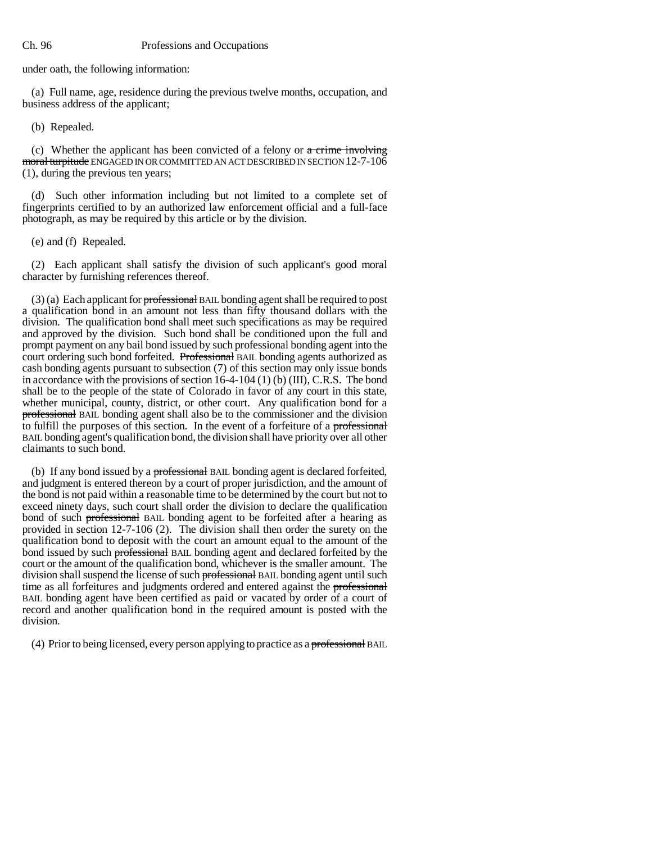under oath, the following information:

(a) Full name, age, residence during the previous twelve months, occupation, and business address of the applicant;

(b) Repealed.

(c) Whether the applicant has been convicted of a felony or  $\alpha$  crime involving moral turpitude ENGAGED IN OR COMMITTED AN ACT DESCRIBED IN SECTION 12-7-106 (1), during the previous ten years;

(d) Such other information including but not limited to a complete set of fingerprints certified to by an authorized law enforcement official and a full-face photograph, as may be required by this article or by the division.

(e) and (f) Repealed.

(2) Each applicant shall satisfy the division of such applicant's good moral character by furnishing references thereof.

 $(3)$  (a) Each applicant for professional BAIL bonding agent shall be required to post a qualification bond in an amount not less than fifty thousand dollars with the division. The qualification bond shall meet such specifications as may be required and approved by the division. Such bond shall be conditioned upon the full and prompt payment on any bail bond issued by such professional bonding agent into the court ordering such bond forfeited. Professional BAIL bonding agents authorized as cash bonding agents pursuant to subsection (7) of this section may only issue bonds in accordance with the provisions of section 16-4-104 (1) (b) (III), C.R.S. The bond shall be to the people of the state of Colorado in favor of any court in this state, whether municipal, county, district, or other court. Any qualification bond for a professional BAIL bonding agent shall also be to the commissioner and the division to fulfill the purposes of this section. In the event of a forfeiture of a professional BAIL bonding agent's qualification bond, the division shall have priority over all other claimants to such bond.

(b) If any bond issued by a **professional** BAIL bonding agent is declared forfeited, and judgment is entered thereon by a court of proper jurisdiction, and the amount of the bond is not paid within a reasonable time to be determined by the court but not to exceed ninety days, such court shall order the division to declare the qualification bond of such **professional** BAIL bonding agent to be forfeited after a hearing as provided in section 12-7-106 (2). The division shall then order the surety on the qualification bond to deposit with the court an amount equal to the amount of the bond issued by such professional BAIL bonding agent and declared forfeited by the court or the amount of the qualification bond, whichever is the smaller amount. The division shall suspend the license of such professional BAIL bonding agent until such time as all forfeitures and judgments ordered and entered against the professional BAIL bonding agent have been certified as paid or vacated by order of a court of record and another qualification bond in the required amount is posted with the division.

(4) Prior to being licensed, every person applying to practice as a professional BAIL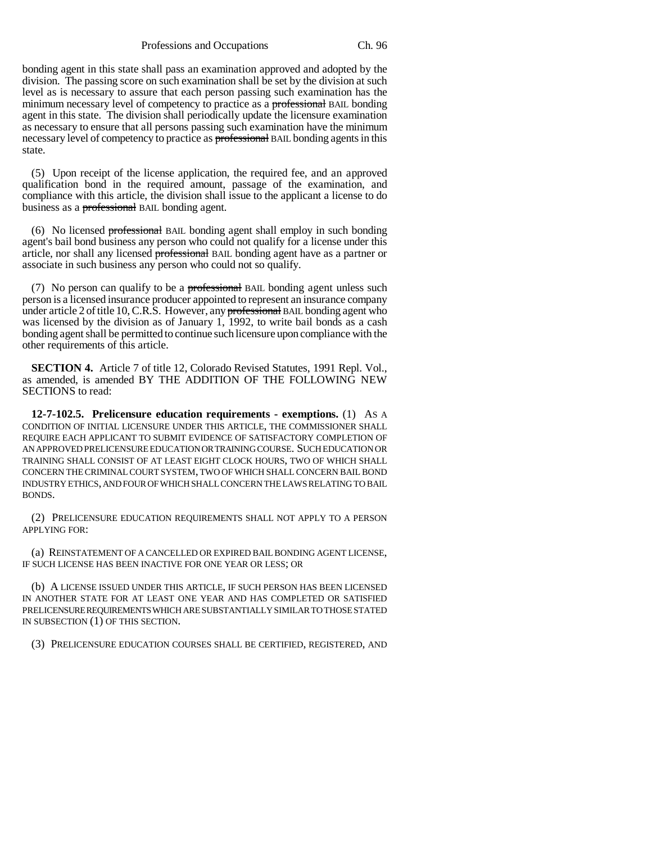Professions and Occupations Ch. 96

bonding agent in this state shall pass an examination approved and adopted by the division. The passing score on such examination shall be set by the division at such level as is necessary to assure that each person passing such examination has the minimum necessary level of competency to practice as a professional BAIL bonding agent in this state. The division shall periodically update the licensure examination as necessary to ensure that all persons passing such examination have the minimum necessary level of competency to practice as **professional** BAIL bonding agents in this state.

(5) Upon receipt of the license application, the required fee, and an approved qualification bond in the required amount, passage of the examination, and compliance with this article, the division shall issue to the applicant a license to do business as a **professional** BAIL bonding agent.

(6) No licensed professional BAIL bonding agent shall employ in such bonding agent's bail bond business any person who could not qualify for a license under this article, nor shall any licensed professional BAIL bonding agent have as a partner or associate in such business any person who could not so qualify.

(7) No person can qualify to be a **professional** BAIL bonding agent unless such person is a licensed insurance producer appointed to represent an insurance company under article 2 of title 10, C.R.S. However, any **professional** BAIL bonding agent who was licensed by the division as of January 1, 1992, to write bail bonds as a cash bonding agent shall be permitted to continue such licensure upon compliance with the other requirements of this article.

**SECTION 4.** Article 7 of title 12, Colorado Revised Statutes, 1991 Repl. Vol., as amended, is amended BY THE ADDITION OF THE FOLLOWING NEW SECTIONS to read:

**12-7-102.5. Prelicensure education requirements - exemptions.** (1) AS A CONDITION OF INITIAL LICENSURE UNDER THIS ARTICLE, THE COMMISSIONER SHALL REQUIRE EACH APPLICANT TO SUBMIT EVIDENCE OF SATISFACTORY COMPLETION OF AN APPROVED PRELICENSURE EDUCATION OR TRAINING COURSE. SUCH EDUCATION OR TRAINING SHALL CONSIST OF AT LEAST EIGHT CLOCK HOURS, TWO OF WHICH SHALL CONCERN THE CRIMINAL COURT SYSTEM, TWO OF WHICH SHALL CONCERN BAIL BOND INDUSTRY ETHICS, AND FOUR OF WHICH SHALL CONCERN THE LAWS RELATING TO BAIL BONDS.

(2) PRELICENSURE EDUCATION REQUIREMENTS SHALL NOT APPLY TO A PERSON APPLYING FOR:

(a) REINSTATEMENT OF A CANCELLED OR EXPIRED BAIL BONDING AGENT LICENSE, IF SUCH LICENSE HAS BEEN INACTIVE FOR ONE YEAR OR LESS; OR

(b) A LICENSE ISSUED UNDER THIS ARTICLE, IF SUCH PERSON HAS BEEN LICENSED IN ANOTHER STATE FOR AT LEAST ONE YEAR AND HAS COMPLETED OR SATISFIED PRELICENSURE REQUIREMENTS WHICH ARE SUBSTANTIALLY SIMILAR TO THOSE STATED IN SUBSECTION (1) OF THIS SECTION.

(3) PRELICENSURE EDUCATION COURSES SHALL BE CERTIFIED, REGISTERED, AND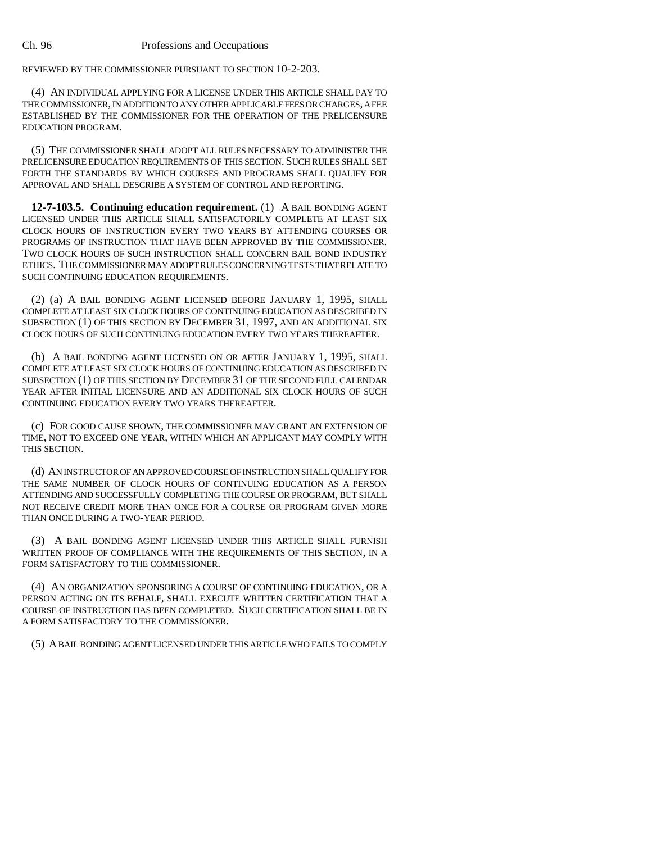REVIEWED BY THE COMMISSIONER PURSUANT TO SECTION 10-2-203.

(4) AN INDIVIDUAL APPLYING FOR A LICENSE UNDER THIS ARTICLE SHALL PAY TO THE COMMISSIONER, IN ADDITION TO ANY OTHER APPLICABLE FEES OR CHARGES, A FEE ESTABLISHED BY THE COMMISSIONER FOR THE OPERATION OF THE PRELICENSURE EDUCATION PROGRAM.

(5) THE COMMISSIONER SHALL ADOPT ALL RULES NECESSARY TO ADMINISTER THE PRELICENSURE EDUCATION REQUIREMENTS OF THIS SECTION.SUCH RULES SHALL SET FORTH THE STANDARDS BY WHICH COURSES AND PROGRAMS SHALL QUALIFY FOR APPROVAL AND SHALL DESCRIBE A SYSTEM OF CONTROL AND REPORTING.

**12-7-103.5. Continuing education requirement.** (1) A BAIL BONDING AGENT LICENSED UNDER THIS ARTICLE SHALL SATISFACTORILY COMPLETE AT LEAST SIX CLOCK HOURS OF INSTRUCTION EVERY TWO YEARS BY ATTENDING COURSES OR PROGRAMS OF INSTRUCTION THAT HAVE BEEN APPROVED BY THE COMMISSIONER. TWO CLOCK HOURS OF SUCH INSTRUCTION SHALL CONCERN BAIL BOND INDUSTRY ETHICS. THE COMMISSIONER MAY ADOPT RULES CONCERNING TESTS THAT RELATE TO SUCH CONTINUING EDUCATION REQUIREMENTS.

(2) (a) A BAIL BONDING AGENT LICENSED BEFORE JANUARY 1, 1995, SHALL COMPLETE AT LEAST SIX CLOCK HOURS OF CONTINUING EDUCATION AS DESCRIBED IN SUBSECTION (1) OF THIS SECTION BY DECEMBER 31, 1997, AND AN ADDITIONAL SIX CLOCK HOURS OF SUCH CONTINUING EDUCATION EVERY TWO YEARS THEREAFTER.

(b) A BAIL BONDING AGENT LICENSED ON OR AFTER JANUARY 1, 1995, SHALL COMPLETE AT LEAST SIX CLOCK HOURS OF CONTINUING EDUCATION AS DESCRIBED IN SUBSECTION (1) OF THIS SECTION BY DECEMBER 31 OF THE SECOND FULL CALENDAR YEAR AFTER INITIAL LICENSURE AND AN ADDITIONAL SIX CLOCK HOURS OF SUCH CONTINUING EDUCATION EVERY TWO YEARS THEREAFTER.

(c) FOR GOOD CAUSE SHOWN, THE COMMISSIONER MAY GRANT AN EXTENSION OF TIME, NOT TO EXCEED ONE YEAR, WITHIN WHICH AN APPLICANT MAY COMPLY WITH THIS SECTION.

(d) AN INSTRUCTOR OF AN APPROVED COURSE OF INSTRUCTION SHALL QUALIFY FOR THE SAME NUMBER OF CLOCK HOURS OF CONTINUING EDUCATION AS A PERSON ATTENDING AND SUCCESSFULLY COMPLETING THE COURSE OR PROGRAM, BUT SHALL NOT RECEIVE CREDIT MORE THAN ONCE FOR A COURSE OR PROGRAM GIVEN MORE THAN ONCE DURING A TWO-YEAR PERIOD.

(3) A BAIL BONDING AGENT LICENSED UNDER THIS ARTICLE SHALL FURNISH WRITTEN PROOF OF COMPLIANCE WITH THE REQUIREMENTS OF THIS SECTION, IN A FORM SATISFACTORY TO THE COMMISSIONER.

(4) AN ORGANIZATION SPONSORING A COURSE OF CONTINUING EDUCATION, OR A PERSON ACTING ON ITS BEHALF, SHALL EXECUTE WRITTEN CERTIFICATION THAT A COURSE OF INSTRUCTION HAS BEEN COMPLETED. SUCH CERTIFICATION SHALL BE IN A FORM SATISFACTORY TO THE COMMISSIONER.

(5) A BAIL BONDING AGENT LICENSED UNDER THIS ARTICLE WHO FAILS TO COMPLY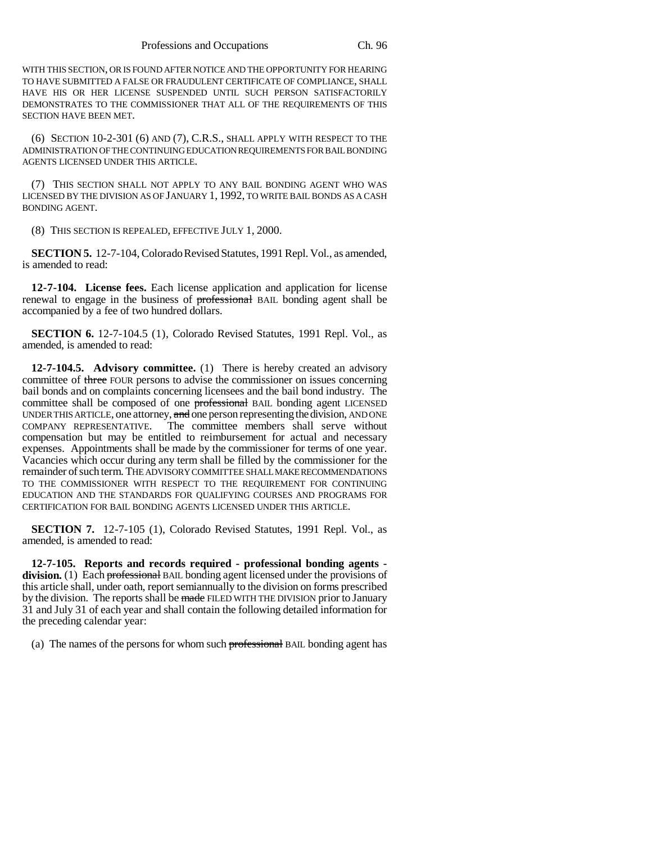WITH THIS SECTION, OR IS FOUND AFTER NOTICE AND THE OPPORTUNITY FOR HEARING TO HAVE SUBMITTED A FALSE OR FRAUDULENT CERTIFICATE OF COMPLIANCE, SHALL HAVE HIS OR HER LICENSE SUSPENDED UNTIL SUCH PERSON SATISFACTORILY DEMONSTRATES TO THE COMMISSIONER THAT ALL OF THE REQUIREMENTS OF THIS SECTION HAVE BEEN MET.

(6) SECTION 10-2-301 (6) AND (7), C.R.S., SHALL APPLY WITH RESPECT TO THE ADMINISTRATION OF THE CONTINUING EDUCATION REQUIREMENTS FOR BAIL BONDING AGENTS LICENSED UNDER THIS ARTICLE.

(7) THIS SECTION SHALL NOT APPLY TO ANY BAIL BONDING AGENT WHO WAS LICENSED BY THE DIVISION AS OF JANUARY 1, 1992, TO WRITE BAIL BONDS AS A CASH BONDING AGENT.

(8) THIS SECTION IS REPEALED, EFFECTIVE JULY 1, 2000.

**SECTION 5.** 12-7-104, Colorado Revised Statutes, 1991 Repl. Vol., as amended, is amended to read:

**12-7-104. License fees.** Each license application and application for license renewal to engage in the business of professional BAIL bonding agent shall be accompanied by a fee of two hundred dollars.

**SECTION 6.** 12-7-104.5 (1), Colorado Revised Statutes, 1991 Repl. Vol., as amended, is amended to read:

**12-7-104.5. Advisory committee.** (1) There is hereby created an advisory committee of three FOUR persons to advise the commissioner on issues concerning bail bonds and on complaints concerning licensees and the bail bond industry. The committee shall be composed of one professional BAIL bonding agent LICENSED UNDER THIS ARTICLE, one attorney, and one person representing the division, AND ONE COMPANY REPRESENTATIVE. The committee members shall serve without compensation but may be entitled to reimbursement for actual and necessary expenses. Appointments shall be made by the commissioner for terms of one year. Vacancies which occur during any term shall be filled by the commissioner for the remainder of such term. THE ADVISORY COMMITTEE SHALL MAKE RECOMMENDATIONS TO THE COMMISSIONER WITH RESPECT TO THE REQUIREMENT FOR CONTINUING EDUCATION AND THE STANDARDS FOR QUALIFYING COURSES AND PROGRAMS FOR CERTIFICATION FOR BAIL BONDING AGENTS LICENSED UNDER THIS ARTICLE.

**SECTION 7.** 12-7-105 (1), Colorado Revised Statutes, 1991 Repl. Vol., as amended, is amended to read:

**12-7-105. Reports and records required - professional bonding agents division.** (1) Each professional BAIL bonding agent licensed under the provisions of this article shall, under oath, report semiannually to the division on forms prescribed by the division. The reports shall be made FILED WITH THE DIVISION prior to January 31 and July 31 of each year and shall contain the following detailed information for the preceding calendar year:

(a) The names of the persons for whom such professional BAIL bonding agent has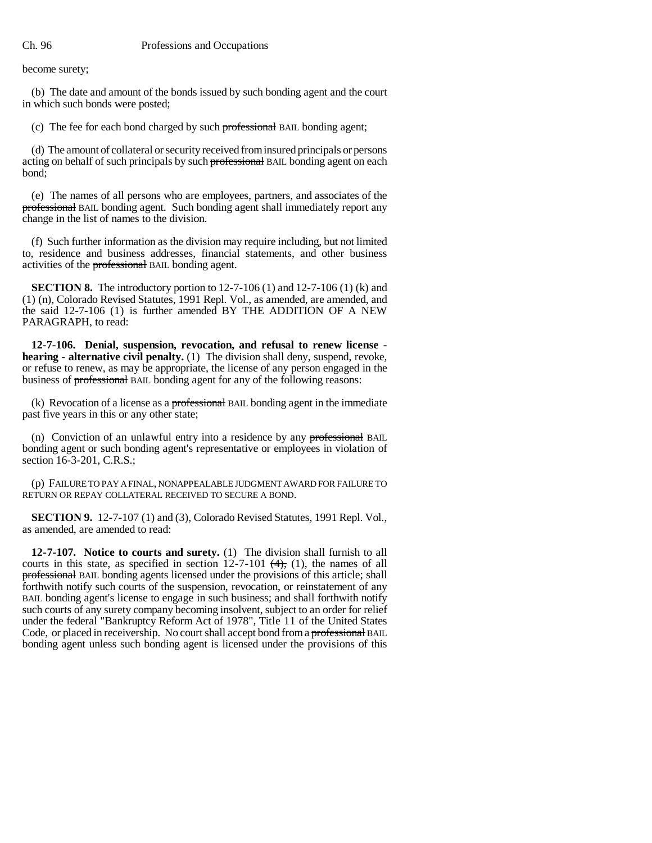become surety;

(b) The date and amount of the bonds issued by such bonding agent and the court in which such bonds were posted;

(c) The fee for each bond charged by such professional BAIL bonding agent;

(d) The amount of collateral or security received from insured principals or persons acting on behalf of such principals by such professional BAIL bonding agent on each bond;

(e) The names of all persons who are employees, partners, and associates of the professional BAIL bonding agent. Such bonding agent shall immediately report any change in the list of names to the division.

(f) Such further information as the division may require including, but not limited to, residence and business addresses, financial statements, and other business activities of the professional BAIL bonding agent.

**SECTION 8.** The introductory portion to 12-7-106 (1) and 12-7-106 (1) (k) and (1) (n), Colorado Revised Statutes, 1991 Repl. Vol., as amended, are amended, and the said 12-7-106 (1) is further amended BY THE ADDITION OF A NEW PARAGRAPH, to read:

**12-7-106. Denial, suspension, revocation, and refusal to renew license hearing - alternative civil penalty.** (1) The division shall deny, suspend, revoke, or refuse to renew, as may be appropriate, the license of any person engaged in the business of professional BAIL bonding agent for any of the following reasons:

(k) Revocation of a license as a **professional** BAIL bonding agent in the immediate past five years in this or any other state;

(n) Conviction of an unlawful entry into a residence by any professional BAIL bonding agent or such bonding agent's representative or employees in violation of section 16-3-201, C.R.S.;

(p) FAILURE TO PAY A FINAL, NONAPPEALABLE JUDGMENT AWARD FOR FAILURE TO RETURN OR REPAY COLLATERAL RECEIVED TO SECURE A BOND.

**SECTION 9.** 12-7-107 (1) and (3), Colorado Revised Statutes, 1991 Repl. Vol., as amended, are amended to read:

**12-7-107. Notice to courts and surety.** (1) The division shall furnish to all courts in this state, as specified in section  $12-7-101$   $(4)$ , (1), the names of all professional BAIL bonding agents licensed under the provisions of this article; shall forthwith notify such courts of the suspension, revocation, or reinstatement of any BAIL bonding agent's license to engage in such business; and shall forthwith notify such courts of any surety company becoming insolvent, subject to an order for relief under the federal "Bankruptcy Reform Act of 1978", Title 11 of the United States Code, or placed in receivership. No court shall accept bond from a professional BAIL bonding agent unless such bonding agent is licensed under the provisions of this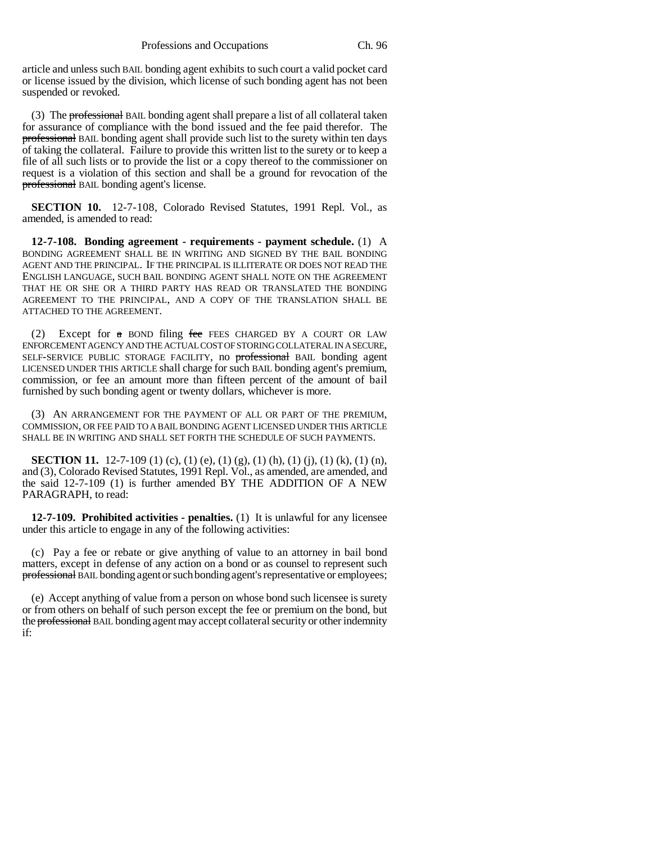article and unless such BAIL bonding agent exhibits to such court a valid pocket card or license issued by the division, which license of such bonding agent has not been suspended or revoked.

(3) The **professional** BAIL bonding agent shall prepare a list of all collateral taken for assurance of compliance with the bond issued and the fee paid therefor. The professional BAIL bonding agent shall provide such list to the surety within ten days of taking the collateral. Failure to provide this written list to the surety or to keep a file of all such lists or to provide the list or a copy thereof to the commissioner on request is a violation of this section and shall be a ground for revocation of the professional BAIL bonding agent's license.

**SECTION 10.** 12-7-108, Colorado Revised Statutes, 1991 Repl. Vol., as amended, is amended to read:

**12-7-108. Bonding agreement - requirements - payment schedule.** (1) A BONDING AGREEMENT SHALL BE IN WRITING AND SIGNED BY THE BAIL BONDING AGENT AND THE PRINCIPAL. IF THE PRINCIPAL IS ILLITERATE OR DOES NOT READ THE ENGLISH LANGUAGE, SUCH BAIL BONDING AGENT SHALL NOTE ON THE AGREEMENT THAT HE OR SHE OR A THIRD PARTY HAS READ OR TRANSLATED THE BONDING AGREEMENT TO THE PRINCIPAL, AND A COPY OF THE TRANSLATION SHALL BE ATTACHED TO THE AGREEMENT.

(2) Except for  $\alpha$  BOND filing fee FEES CHARGED BY A COURT OR LAW ENFORCEMENT AGENCY AND THE ACTUAL COST OF STORING COLLATERAL IN A SECURE, SELF-SERVICE PUBLIC STORAGE FACILITY, no professional BAIL bonding agent LICENSED UNDER THIS ARTICLE shall charge for such BAIL bonding agent's premium, commission, or fee an amount more than fifteen percent of the amount of bail furnished by such bonding agent or twenty dollars, whichever is more.

(3) AN ARRANGEMENT FOR THE PAYMENT OF ALL OR PART OF THE PREMIUM, COMMISSION, OR FEE PAID TO A BAIL BONDING AGENT LICENSED UNDER THIS ARTICLE SHALL BE IN WRITING AND SHALL SET FORTH THE SCHEDULE OF SUCH PAYMENTS.

**SECTION 11.** 12-7-109 (1) (c), (1) (e), (1) (g), (1) (h), (1) (j), (1) (k), (1) (n), and (3), Colorado Revised Statutes, 1991 Repl. Vol., as amended, are amended, and the said 12-7-109 (1) is further amended BY THE ADDITION OF A NEW PARAGRAPH, to read:

**12-7-109. Prohibited activities - penalties.** (1) It is unlawful for any licensee under this article to engage in any of the following activities:

(c) Pay a fee or rebate or give anything of value to an attorney in bail bond matters, except in defense of any action on a bond or as counsel to represent such professional BAIL bonding agent or such bonding agent's representative or employees;

(e) Accept anything of value from a person on whose bond such licensee is surety or from others on behalf of such person except the fee or premium on the bond, but the professional BAIL bonding agent may accept collateral security or other indemnity if: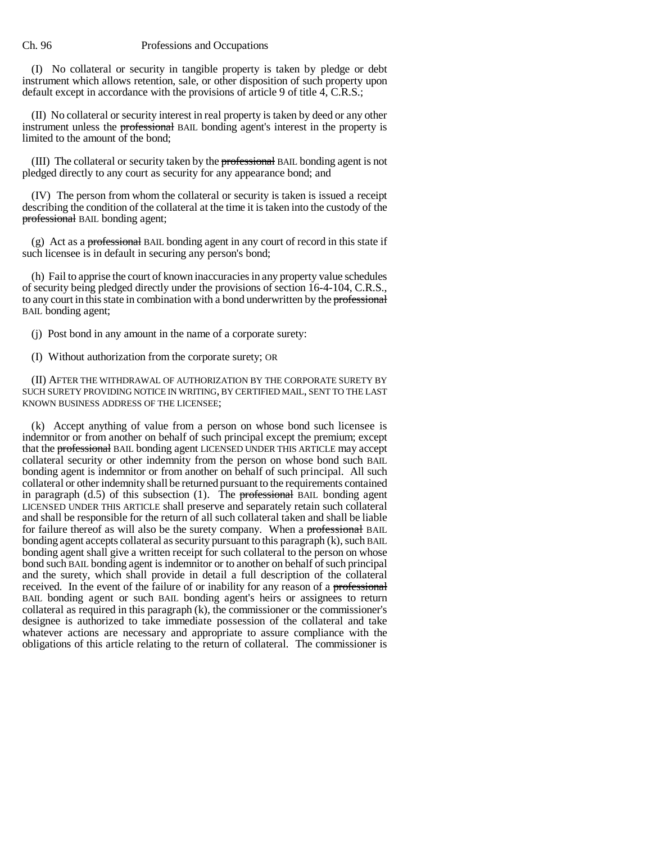#### Ch. 96 Professions and Occupations

(I) No collateral or security in tangible property is taken by pledge or debt instrument which allows retention, sale, or other disposition of such property upon default except in accordance with the provisions of article 9 of title 4, C.R.S.;

(II) No collateral or security interest in real property is taken by deed or any other instrument unless the professional BAIL bonding agent's interest in the property is limited to the amount of the bond;

(III) The collateral or security taken by the professional BAIL bonding agent is not pledged directly to any court as security for any appearance bond; and

(IV) The person from whom the collateral or security is taken is issued a receipt describing the condition of the collateral at the time it is taken into the custody of the professional BAIL bonding agent;

(g) Act as a professional BAIL bonding agent in any court of record in this state if such licensee is in default in securing any person's bond;

(h) Fail to apprise the court of known inaccuracies in any property value schedules of security being pledged directly under the provisions of section 16-4-104, C.R.S., to any court in this state in combination with a bond underwritten by the professional BAIL bonding agent;

(j) Post bond in any amount in the name of a corporate surety:

(I) Without authorization from the corporate surety; OR

(II) AFTER THE WITHDRAWAL OF AUTHORIZATION BY THE CORPORATE SURETY BY SUCH SURETY PROVIDING NOTICE IN WRITING, BY CERTIFIED MAIL, SENT TO THE LAST KNOWN BUSINESS ADDRESS OF THE LICENSEE;

(k) Accept anything of value from a person on whose bond such licensee is indemnitor or from another on behalf of such principal except the premium; except that the professional BAIL bonding agent LICENSED UNDER THIS ARTICLE may accept collateral security or other indemnity from the person on whose bond such BAIL bonding agent is indemnitor or from another on behalf of such principal. All such collateral or other indemnity shall be returned pursuant to the requirements contained in paragraph (d.5) of this subsection (1). The professional BAIL bonding agent LICENSED UNDER THIS ARTICLE shall preserve and separately retain such collateral and shall be responsible for the return of all such collateral taken and shall be liable for failure thereof as will also be the surety company. When a professional BAIL bonding agent accepts collateral as security pursuant to this paragraph (k), such BAIL bonding agent shall give a written receipt for such collateral to the person on whose bond such BAIL bonding agent is indemnitor or to another on behalf of such principal and the surety, which shall provide in detail a full description of the collateral received. In the event of the failure of or inability for any reason of a professional BAIL bonding agent or such BAIL bonding agent's heirs or assignees to return collateral as required in this paragraph  $(k)$ , the commissioner or the commissioner's designee is authorized to take immediate possession of the collateral and take whatever actions are necessary and appropriate to assure compliance with the obligations of this article relating to the return of collateral. The commissioner is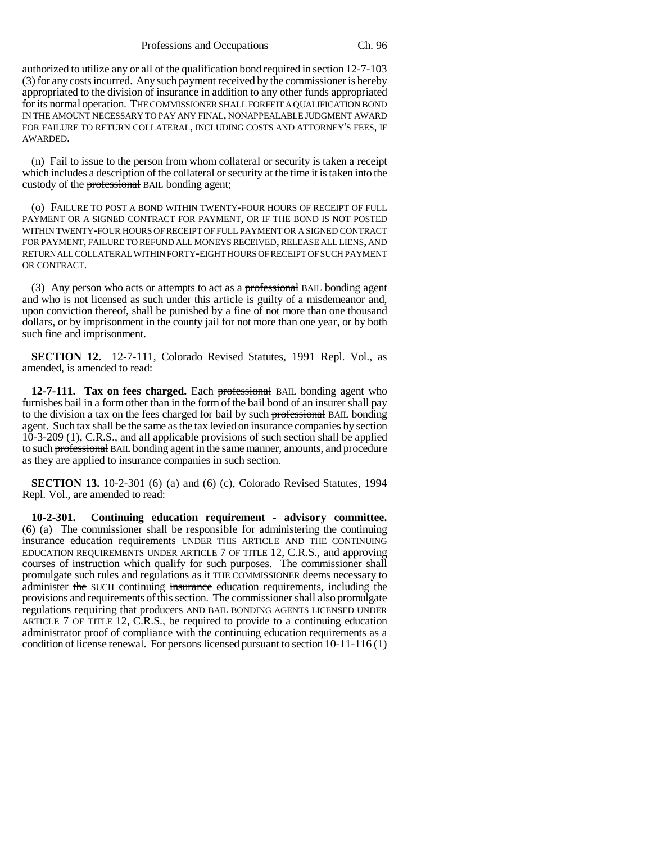authorized to utilize any or all of the qualification bond required in section 12-7-103 (3) for any costs incurred. Any such payment received by the commissioner is hereby appropriated to the division of insurance in addition to any other funds appropriated for its normal operation. THE COMMISSIONER SHALL FORFEIT A QUALIFICATION BOND IN THE AMOUNT NECESSARY TO PAY ANY FINAL, NONAPPEALABLE JUDGMENT AWARD FOR FAILURE TO RETURN COLLATERAL, INCLUDING COSTS AND ATTORNEY'S FEES, IF AWARDED.

(n) Fail to issue to the person from whom collateral or security is taken a receipt which includes a description of the collateral or security at the time it is taken into the custody of the **professional** BAIL bonding agent;

(o) FAILURE TO POST A BOND WITHIN TWENTY-FOUR HOURS OF RECEIPT OF FULL PAYMENT OR A SIGNED CONTRACT FOR PAYMENT, OR IF THE BOND IS NOT POSTED WITHIN TWENTY-FOUR HOURS OF RECEIPT OF FULL PAYMENT OR A SIGNED CONTRACT FOR PAYMENT, FAILURE TO REFUND ALL MONEYS RECEIVED, RELEASE ALL LIENS, AND RETURN ALL COLLATERAL WITHIN FORTY-EIGHT HOURS OF RECEIPT OF SUCH PAYMENT OR CONTRACT.

(3) Any person who acts or attempts to act as a professional BAIL bonding agent and who is not licensed as such under this article is guilty of a misdemeanor and, upon conviction thereof, shall be punished by a fine of not more than one thousand dollars, or by imprisonment in the county jail for not more than one year, or by both such fine and imprisonment.

**SECTION 12.** 12-7-111, Colorado Revised Statutes, 1991 Repl. Vol., as amended, is amended to read:

**12-7-111. Tax on fees charged.** Each professional BAIL bonding agent who furnishes bail in a form other than in the form of the bail bond of an insurer shall pay to the division a tax on the fees charged for bail by such professional BAIL bonding agent. Such tax shall be the same as the tax levied on insurance companies by section 10-3-209 (1), C.R.S., and all applicable provisions of such section shall be applied to such professional BAIL bonding agent in the same manner, amounts, and procedure as they are applied to insurance companies in such section.

**SECTION 13.** 10-2-301 (6) (a) and (6) (c), Colorado Revised Statutes, 1994 Repl. Vol., are amended to read:

**10-2-301. Continuing education requirement - advisory committee.** (6) (a) The commissioner shall be responsible for administering the continuing insurance education requirements UNDER THIS ARTICLE AND THE CONTINUING EDUCATION REQUIREMENTS UNDER ARTICLE 7 OF TITLE 12, C.R.S., and approving courses of instruction which qualify for such purposes. The commissioner shall promulgate such rules and regulations as it THE COMMISSIONER deems necessary to administer the SUCH continuing insurance education requirements, including the provisions and requirements of this section. The commissioner shall also promulgate regulations requiring that producers AND BAIL BONDING AGENTS LICENSED UNDER ARTICLE 7 OF TITLE 12, C.R.S., be required to provide to a continuing education administrator proof of compliance with the continuing education requirements as a condition of license renewal. For persons licensed pursuant to section 10-11-116 (1)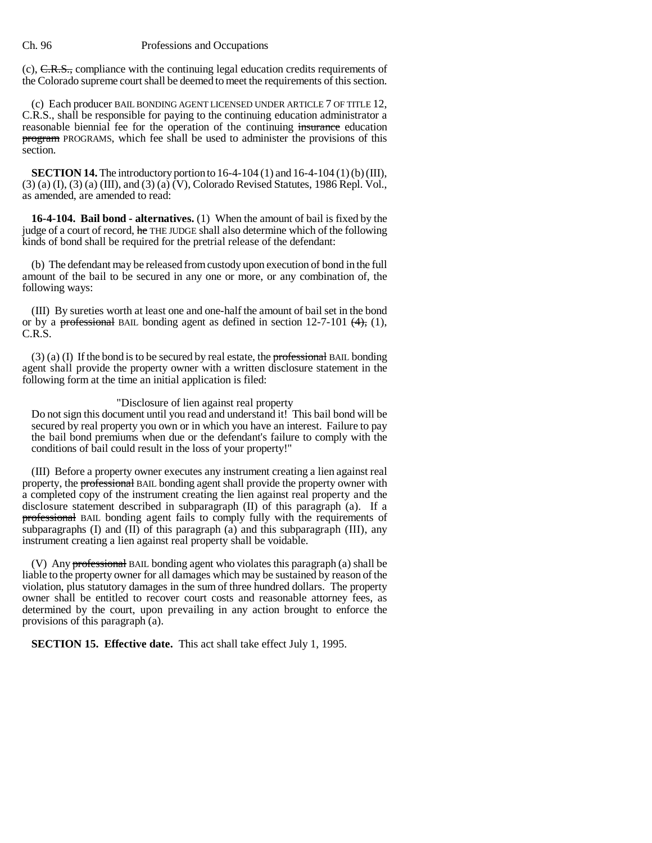#### Ch. 96 Professions and Occupations

(c), C.R.S., compliance with the continuing legal education credits requirements of the Colorado supreme court shall be deemed to meet the requirements of this section.

(c) Each producer BAIL BONDING AGENT LICENSED UNDER ARTICLE 7 OF TITLE 12, C.R.S., shall be responsible for paying to the continuing education administrator a reasonable biennial fee for the operation of the continuing insurance education program PROGRAMS, which fee shall be used to administer the provisions of this section.

**SECTION 14.** The introductory portion to 16-4-104 (1) and 16-4-104 (1) (b) (III), (3) (a) (I), (3) (a) (III), and (3) (a) (V), Colorado Revised Statutes, 1986 Repl. Vol., as amended, are amended to read:

**16-4-104. Bail bond - alternatives.** (1) When the amount of bail is fixed by the judge of a court of record, he THE JUDGE shall also determine which of the following kinds of bond shall be required for the pretrial release of the defendant:

(b) The defendant may be released from custody upon execution of bond in the full amount of the bail to be secured in any one or more, or any combination of, the following ways:

(III) By sureties worth at least one and one-half the amount of bail set in the bond or by a professional BAIL bonding agent as defined in section  $12-7-101$  (4), (1), C.R.S.

 $(3)$  (a) (I) If the bond is to be secured by real estate, the professional BAIL bonding agent shall provide the property owner with a written disclosure statement in the following form at the time an initial application is filed:

### "Disclosure of lien against real property

Do not sign this document until you read and understand it! This bail bond will be secured by real property you own or in which you have an interest. Failure to pay the bail bond premiums when due or the defendant's failure to comply with the conditions of bail could result in the loss of your property!"

(III) Before a property owner executes any instrument creating a lien against real property, the **professional** BAIL bonding agent shall provide the property owner with a completed copy of the instrument creating the lien against real property and the disclosure statement described in subparagraph (II) of this paragraph (a). If a professional BAIL bonding agent fails to comply fully with the requirements of subparagraphs  $(I)$  and  $(II)$  of this paragraph  $(a)$  and this subparagraph  $(III)$ , any instrument creating a lien against real property shall be voidable.

(V) Any professional BAIL bonding agent who violates this paragraph (a) shall be liable to the property owner for all damages which may be sustained by reason of the violation, plus statutory damages in the sum of three hundred dollars. The property owner shall be entitled to recover court costs and reasonable attorney fees, as determined by the court, upon prevailing in any action brought to enforce the provisions of this paragraph (a).

**SECTION 15. Effective date.** This act shall take effect July 1, 1995.